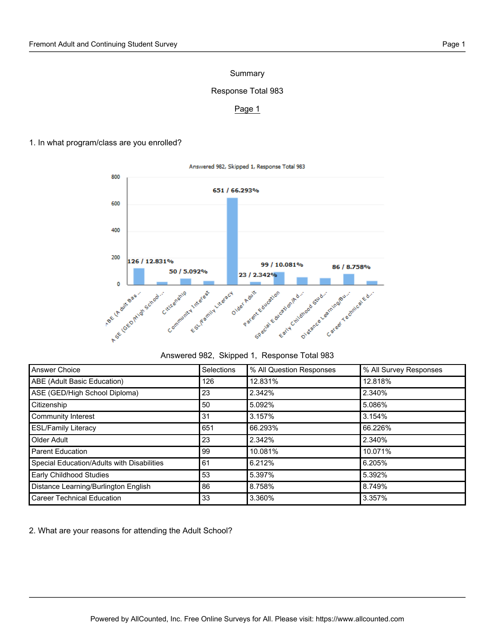# Summary

# Response Total 983

## Page 1

1. In what program/class are you enrolled?



### Answered 982, Skipped 1, Response Total 983

| Answer Choice                              | <b>Selections</b> | % All Question Responses | % All Survey Responses |
|--------------------------------------------|-------------------|--------------------------|------------------------|
| ABE (Adult Basic Education)                | 126               | 12.831%                  | 12.818%                |
| ASE (GED/High School Diploma)              | 23                | 2.342%                   | 2.340%                 |
| Citizenship                                | 50                | 5.092%                   | 5.086%                 |
| Community Interest                         | 31                | 3.157%                   | 3.154%                 |
| <b>ESL/Family Literacy</b>                 | 651               | 66.293%                  | 66.226%                |
| Older Adult                                | 23                | 2.342%                   | 2.340%                 |
| <b>Parent Education</b>                    | 99                | 10.081%                  | 10.071%                |
| Special Education/Adults with Disabilities | 61                | 6.212%                   | 6.205%                 |
| Early Childhood Studies                    | 53                | 5.397%                   | 5.392%                 |
| Distance Learning/Burlington English       | 86                | 8.758%                   | 8.749%                 |
| <b>Career Technical Education</b>          | 33                | 3.360%                   | 3.357%                 |

2. What are your reasons for attending the Adult School?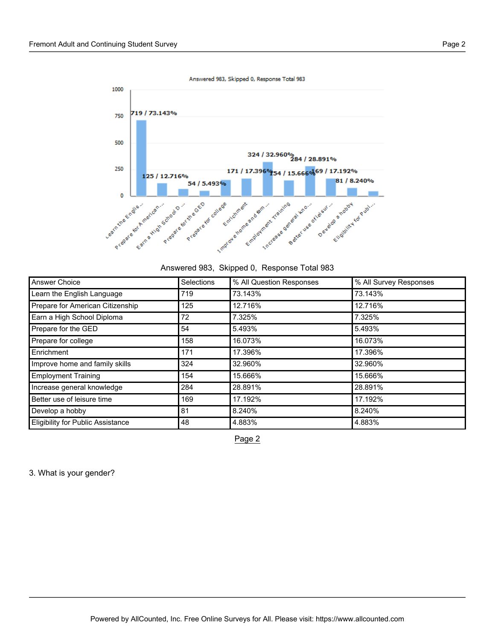Answered 983, Skipped 0, Response Total 983



| Answered 983, Skipped 0, Response Total 983 |  |
|---------------------------------------------|--|
|---------------------------------------------|--|

| Answer Choice                            | Selections | % All Question Responses | % All Survey Responses |
|------------------------------------------|------------|--------------------------|------------------------|
| Learn the English Language               | 719        | 73.143%                  | 73.143%                |
| Prepare for American Citizenship         | 125        | 12.716%                  | 12.716%                |
| Earn a High School Diploma               | 72         | 7.325%                   | 7.325%                 |
| Prepare for the GED                      | 54         | 5.493%                   | 5.493%                 |
| Prepare for college                      | 158        | 16.073%                  | 16.073%                |
| Enrichment                               | 171        | 17.396%                  | 17.396%                |
| Improve home and family skills           | 324        | 32.960%                  | 32.960%                |
| <b>Employment Training</b>               | 154        | 15.666%                  | 15.666%                |
| Increase general knowledge               | 284        | 28.891%                  | 28.891%                |
| Better use of leisure time               | 169        | 17.192%                  | 17.192%                |
| Develop a hobby                          | 81         | 8.240%                   | 8.240%                 |
| <b>Eligibility for Public Assistance</b> | 48         | 4.883%                   | 4.883%                 |

Page 2

3. What is your gender?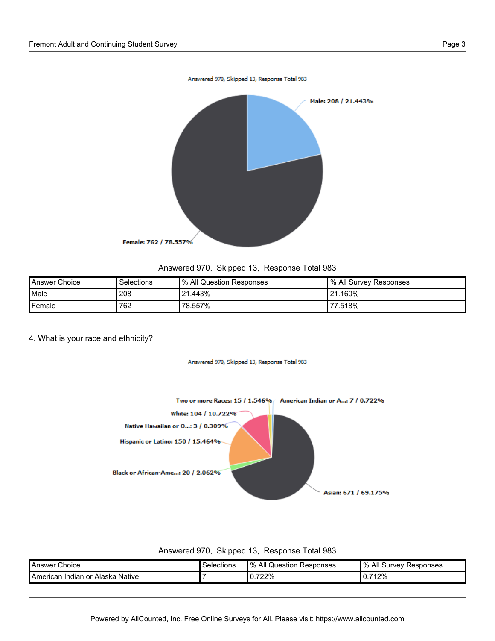

## Answered 970, Skipped 13, Response Total 983

| Answer Choice | Selections | % All Question Responses | ∥% All Survey Responses |
|---------------|------------|--------------------------|-------------------------|
| Male          | 208        | 21.443%                  | $121.160\%$             |
| Female        | 762        | 78.557%                  | 77.518%                 |

## 4. What is your race and ethnicity?

Answered 970, Skipped 13, Response Total 983



#### Answered 970, Skipped 13, Response Total 983

| <b>Answer Choice</b>             | Selections | Ⅰ % All Question Responses | Ⅰ% All Survev Responses |
|----------------------------------|------------|----------------------------|-------------------------|
| American Indian or Alaska Native |            | 0.722%                     | $.712\%$<br>υ.,         |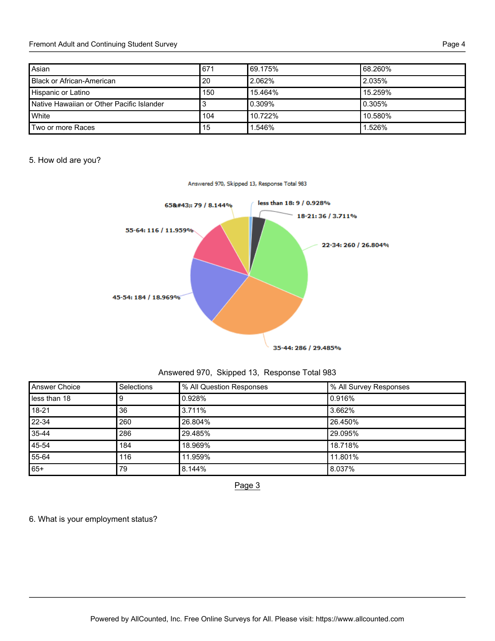| Asian                                     | 671 | 169.175% | 68.260% |
|-------------------------------------------|-----|----------|---------|
| <b>Black or African-American</b>          | 20  | 2.062%   | 2.035%  |
| Hispanic or Latino                        | 150 | 15.464%  | 15.259% |
| Native Hawaiian or Other Pacific Islander |     | 0.309%   | 0.305%  |
| White                                     | 104 | 10.722%  | 10.580% |
| Two or more Races                         | 15  | .546%    | 1.526%  |

# 5. How old are you?



Answered 970, Skipped 13, Response Total 983

| Answered 970, Skipped 13, Response Total 983 |  |  |  |
|----------------------------------------------|--|--|--|
|----------------------------------------------|--|--|--|

| <b>Answer Choice</b> | Selections | % All Question Responses | % All Survey Responses |
|----------------------|------------|--------------------------|------------------------|
| less than 18         |            | 0.928%                   | 0.916%                 |
| 18-21                | 36         | 3.711%                   | 3.662%                 |
| 22-34                | 260        | 26.804%                  | 26.450%                |
| 35-44                | 286        | 29.485%                  | 29.095%                |
| 45-54                | 184        | 18.969%                  | 18.718%                |
| 55-64                | 116        | 11.959%                  | 11.801%                |
| $65+$                | 79         | 8.144%                   | 8.037%                 |

Page 3

6. What is your employment status?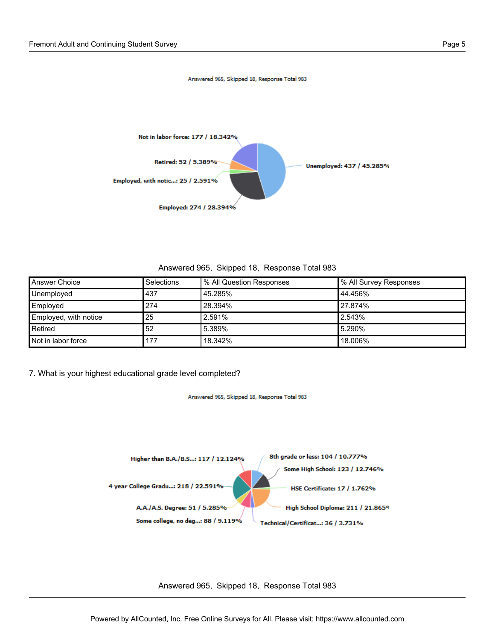

Answered 965, Skipped 18, Response Total 983

Answered 965, Skipped 18, Response Total 983

| <b>Answer Choice</b>  | Selections | Ⅰ% All Question Responses | % All Survey Responses |
|-----------------------|------------|---------------------------|------------------------|
| Unemployed            | 437        | 45.285%                   | 44.456%                |
| Employed              | 274        | 28.394%                   | 27.874%                |
| Employed, with notice | 25         | 2.591%                    | 2.543%                 |
| Retired               | 52         | 5.389%                    | 5.290%                 |
| Not in labor force    | 177        | 18.342%                   | 18.006%                |

7. What is your highest educational grade level completed?

Answered 965, Skipped 18, Response Total 983



Answered 965, Skipped 18, Response Total 983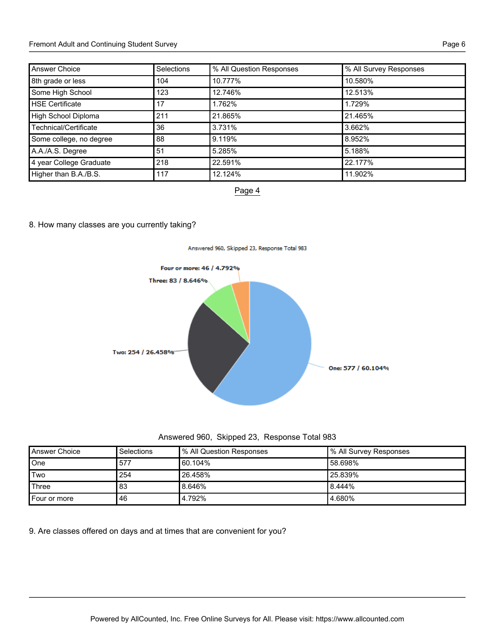## Fremont Adult and Continuing Student Survey **Page 6** and the student student Survey Page 6

| <b>Answer Choice</b>    | <b>Selections</b> | % All Question Responses | % All Survey Responses |
|-------------------------|-------------------|--------------------------|------------------------|
| 8th grade or less       | 104               | 10.777%                  | 10.580%                |
| Some High School        | 123               | 12.746%                  | 12.513%                |
| <b>HSE Certificate</b>  | 17                | 1.762%                   | 1.729%                 |
| High School Diploma     | 211               | 21.865%                  | 21.465%                |
| Technical/Certificate   | 36                | 3.731%                   | 3.662%                 |
| Some college, no degree | 88                | 9.119%                   | 8.952%                 |
| A.A./A.S. Degree        | 51                | 5.285%                   | 5.188%                 |
| 4 year College Graduate | 218               | 22.591%                  | 22.177%                |
| Higher than B.A./B.S.   | 117               | 12.124%                  | 11.902%                |



# 8. How many classes are you currently taking?



| Answered 960, Skipped 23, Response Total 983 |  |  |  |
|----------------------------------------------|--|--|--|
|----------------------------------------------|--|--|--|

| Answer Choice | Selections | % All Question Responses | Ⅰ% All Survey Responses |
|---------------|------------|--------------------------|-------------------------|
| One           | 577        | 60.104%                  | l 58.698%               |
| Two           | 254        | 26.458%                  | l 25.839%               |
| Three         | 83         | 8.646%                   | 8.444%                  |
| Four or more  | 46         | 4.792%                   | 4.680%                  |

9. Are classes offered on days and at times that are convenient for you?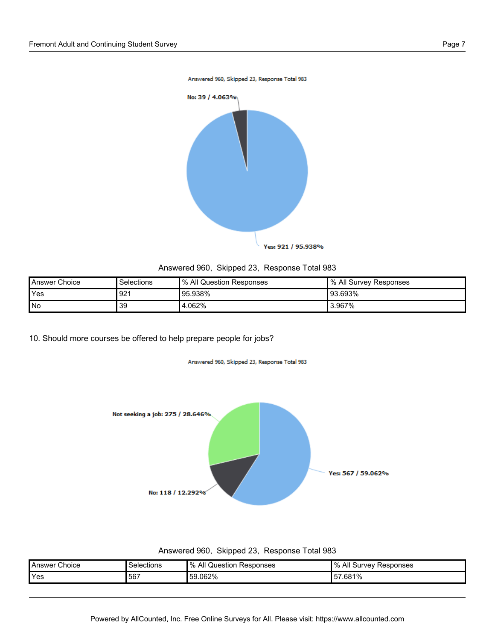

# Answered 960, Skipped 23, Response Total 983

| Answer Choice | Selections | <sup>9</sup> % All Question Responses | ∥% All Survey Responses |
|---------------|------------|---------------------------------------|-------------------------|
| <b>Yes</b>    | 921        | 95.938%                               | l 93.693%               |
| l No          | 39         | 4.062%                                | 3.967%                  |

10. Should more courses be offered to help prepare people for jobs?

Answered 960, Skipped 23, Response Total 983



#### Answered 960, Skipped 23, Response Total 983

| Choice<br>Answer | Selections | All<br>0/<br>Responses<br>Question | $\frac{1}{2}$<br>All<br>Responses<br>survev ' |
|------------------|------------|------------------------------------|-----------------------------------------------|
| <b>Yes</b>       | .567       | 59.062%                            | 7.681%<br>57                                  |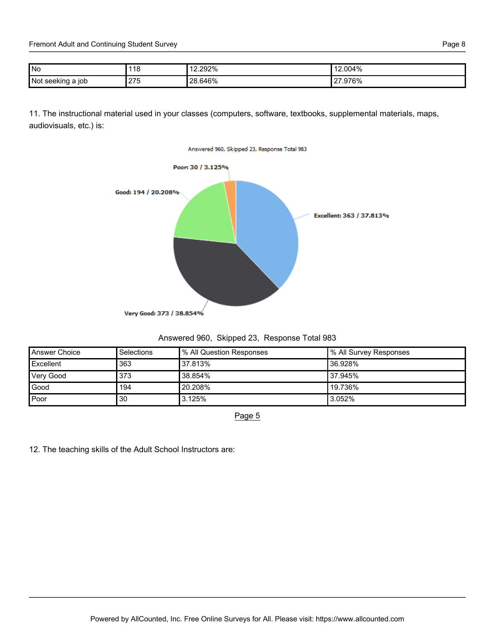Fremont Adult and Continuing Student Survey **Page 8** Page 8

| l No              | 118 | 2.292%<br>$\overline{A}$ | 12.004%              |
|-------------------|-----|--------------------------|----------------------|
| Not seeking a job | 275 | 28.646%                  | .976%<br>$\sim$<br>∠ |

11. The instructional material used in your classes (computers, software, textbooks, supplemental materials, maps, audiovisuals, etc.) is:



| Answered 960, Skipped 23, Response Total 983 |  |  |  |
|----------------------------------------------|--|--|--|
|----------------------------------------------|--|--|--|

| Answer Choice | Selections | <sup>1</sup> % All Question Responses | Ⅰ% All Survey Responses |
|---------------|------------|---------------------------------------|-------------------------|
| Excellent     | 363        | 37.813%                               | l 36.928%               |
| Very Good     | 373        | 38.854%                               | 37.945%                 |
| Good          | 194        | 20.208%                               | 19.736%                 |
| Poor          | '30        | 3.125%                                | 3.052%                  |

Page 5

12. The teaching skills of the Adult School Instructors are: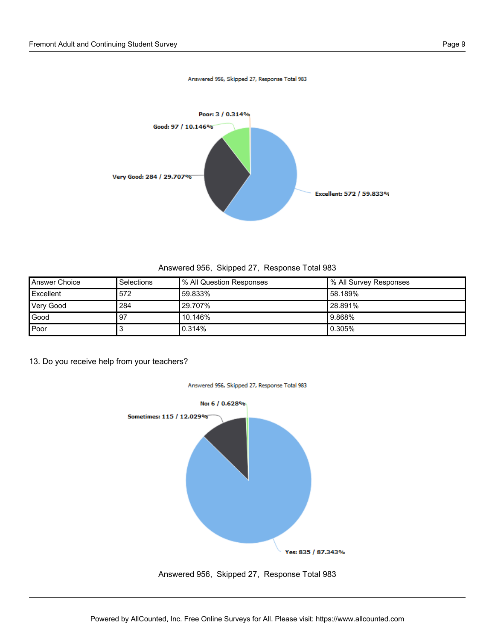

Answered 956, Skipped 27, Response Total 983

Answered 956, Skipped 27, Response Total 983

| Answer Choice    | <b>Selections</b> | % All Question Responses | I % All Survey Responses |
|------------------|-------------------|--------------------------|--------------------------|
| Excellent        | 572               | 59.833%                  | l 58.189%                |
| <b>Very Good</b> | 284               | 29.707%                  | 28.891%                  |
| Good             | .97               | 10.146%                  | 9.868%                   |
| Poor             |                   | 0.314%                   | 10.305%                  |

Answered 956, Skipped 27, Response Total 983

13. Do you receive help from your teachers?

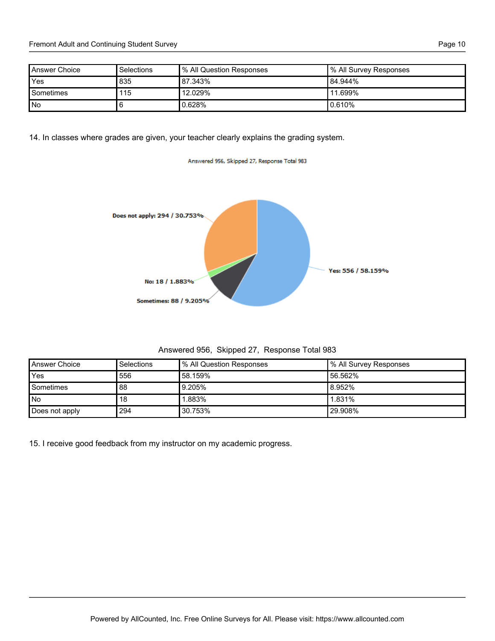| Answer Choice | Selections | % All Question Responses | ∥% All Survey Responses |
|---------------|------------|--------------------------|-------------------------|
| Yes           | 835        | 87.343%                  | 84.944%                 |
| Sometimes     | 115        | $12.029\%$               | <b>'11.699%</b>         |
| No            | 6          | 0.628%                   | 0.610%                  |

14. In classes where grades are given, your teacher clearly explains the grading system.



Answered 956, Skipped 27, Response Total 983

| Answered 956, Skipped 27, Response Total 983 |  |  |  |
|----------------------------------------------|--|--|--|
|----------------------------------------------|--|--|--|

| Answer Choice  | Selections | Ⅰ% All Question Responses | I % All Survey Responses |
|----------------|------------|---------------------------|--------------------------|
| Yes            | 556        | 58.159%                   | 56.562%                  |
| Sometimes      | 88         | 9.205%                    | 8.952%                   |
| l No           | 18         | 1.883%                    | ' 1.831%                 |
| Does not apply | 294        | 30.753%                   | '29.908%                 |

15. I receive good feedback from my instructor on my academic progress.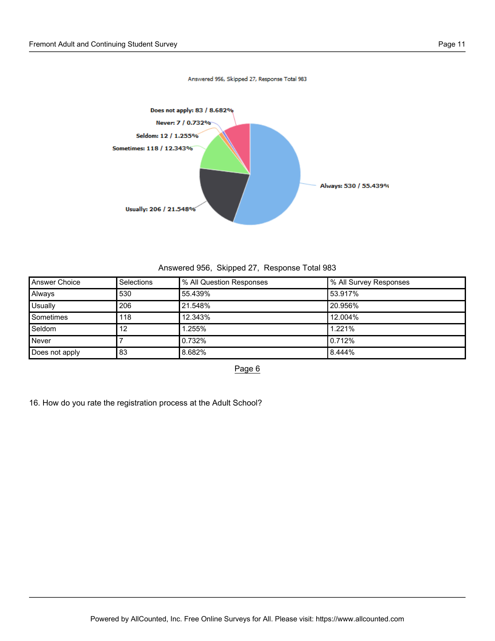

Answered 956, Skipped 27, Response Total 983

Answered 956, Skipped 27, Response Total 983

| <b>Answer Choice</b> | Selections | % All Question Responses | % All Survey Responses |
|----------------------|------------|--------------------------|------------------------|
| Always               | 530        | 55.439%                  | 53.917%                |
| Usually              | 206        | 21.548%                  | 20.956%                |
| Sometimes            | 118        | 12.343%                  | 12.004%                |
| Seldom               | 12         | 1.255%                   | 1.221%                 |
| Never                |            | 0.732%                   | 0.712%                 |
| Does not apply       | 83         | 8.682%                   | 8.444%                 |

Page 6

16. How do you rate the registration process at the Adult School?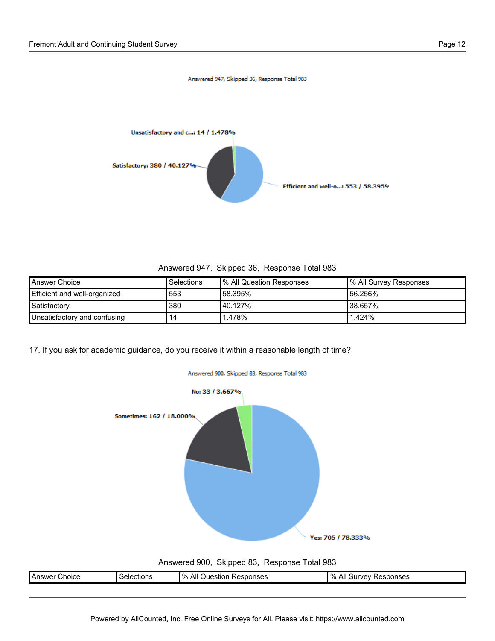

Answered 947, Skipped 36, Response Total 983

Answered 947, Skipped 36, Response Total 983

| <b>Answer Choice</b>                | <b>Selections</b> | Ⅰ% All Question Responses | 1% All Survey Responses |
|-------------------------------------|-------------------|---------------------------|-------------------------|
| <b>Efficient and well-organized</b> | 553               | '58.395%                  | 56.256%                 |
| Satisfactory                        | 380               | Ⅰ40.127%                  | '38.657%                |
| Unsatisfactory and confusing        | 14                | 1.478%                    | $1.424\%$               |

17. If you ask for academic guidance, do you receive it within a reasonable length of time?



## Answered 900, Skipped 83, Response Total 983

| - Choice<br><b>I</b> Answer | Selections | $\%$<br>All<br>Responses<br>Question | $^{\prime}$ %<br>All<br>Responses<br>∵urvev⊔د |
|-----------------------------|------------|--------------------------------------|-----------------------------------------------|
|                             |            |                                      |                                               |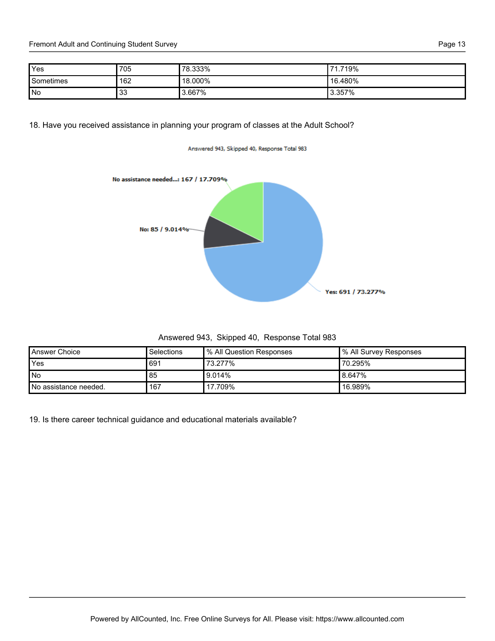Fremont Adult and Continuing Student Survey **Page 13** Page 13

| Yes       | 705          | 78.333% | 719%<br>-74 |
|-----------|--------------|---------|-------------|
| Sometimes | 162          | 18.000% | ' 16.480%   |
| No        | $\sim$<br>ິບ | 3.667%  | 3.357%      |

# 18. Have you received assistance in planning your program of classes at the Adult School?

#### Answered 943, Skipped 40, Response Total 983



Answered 943, Skipped 40, Response Total 983

| Answer Choice         | <b>Selections</b> | Ⅰ% All Question Responses | Ⅰ% All Survey Responses |
|-----------------------|-------------------|---------------------------|-------------------------|
| Yes                   | 691               | 73.277%                   | 70.295%                 |
| l No                  | 85                | $9.014\%$                 | ‼8.647%                 |
| No assistance needed. | 167               | ' 17.709%                 | ' 16.989%               |

19. Is there career technical guidance and educational materials available?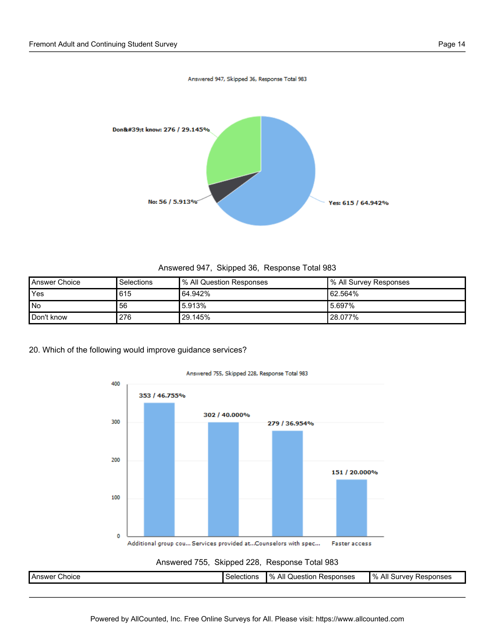

Answered 947, Skipped 36, Response Total 983

| Answer Choice | Selections | % All Question Responses | Ⅰ% All Survey Responses |
|---------------|------------|--------------------------|-------------------------|
| Yes           | 615        | 64.942%                  | 162.564%                |
| No            | 56         | 5.913%                   | 5.697%                  |
| Don't know    | 276        | 129.145%                 | <b>'28.077%</b>         |

20. Which of the following would improve guidance services?



Answer Choice **Selections Selections 1% All Question Responses** % All Survey Responses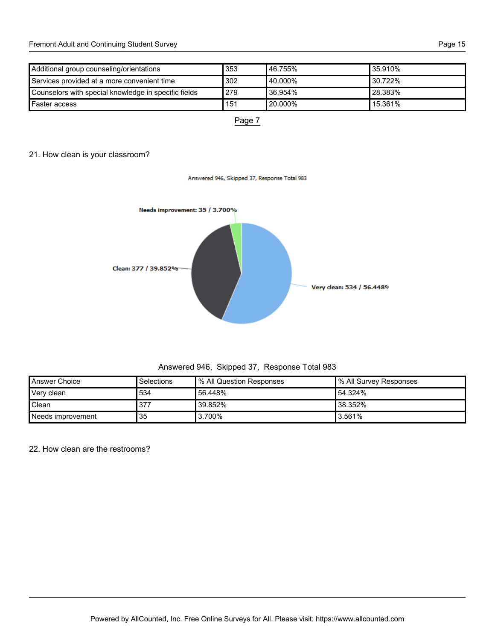| Additional group counseling/orientations             | 353 | 146.755%    | 35.910%    |
|------------------------------------------------------|-----|-------------|------------|
| Services provided at a more convenient time          | 302 | l 40.000% l | 30.722%    |
| Counselors with special knowledge in specific fields | 279 | l 36.954%   | 28.383%    |
| <b>I</b> Faster access                               | 151 | l 20.000%   | $15.361\%$ |



Answered 946, Skipped 37, Response Total 983

# 21. How clean is your classroom?



Answered 946, Skipped 37, Response Total 983

| Answer Choice     | Selections | Ⅰ% All Question Responses | ∣% All Survey Responses |
|-------------------|------------|---------------------------|-------------------------|
| Very clean        | 534        | 56.448%                   | 54.324%                 |
| Clean             | 377        | '39.852%                  | 38.352%                 |
| Needs improvement | 35         | 3.700%                    | 3.561%                  |

22. How clean are the restrooms?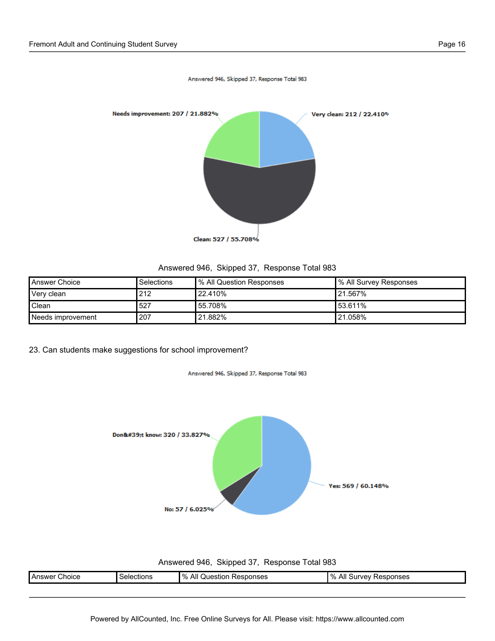

Answered 946, Skipped 37, Response Total 983

Answered 946, Skipped 37, Response Total 983

| <b>Answer Choice</b> | Selections | <sup>9</sup> % All Question Responses | ∥% All Survey Responses |
|----------------------|------------|---------------------------------------|-------------------------|
| Very clean           | 212        | 22.410%                               | <b>'21.567%</b>         |
| Clean                | 527        | 55.708%                               | 153.611%                |
| Needs improvement    | 207        | '21.882%                              | '21.058%                |

23. Can students make suggestions for school improvement?

Answered 946, Skipped 37, Response Total 983



Answered 946, Skipped 37, Response Total 983

| :hoice<br>. Answe | ≳ctions<br>seler<br>. | $\frac{9}{6}$<br>All<br>esponses<br>Juestion :<br>∼⊢ | . റ<br>Responses<br>… Jurvey ™<br>$\mathcal{L}_{\mathcal{L}}$<br>Αıı |
|-------------------|-----------------------|------------------------------------------------------|----------------------------------------------------------------------|
|                   |                       |                                                      |                                                                      |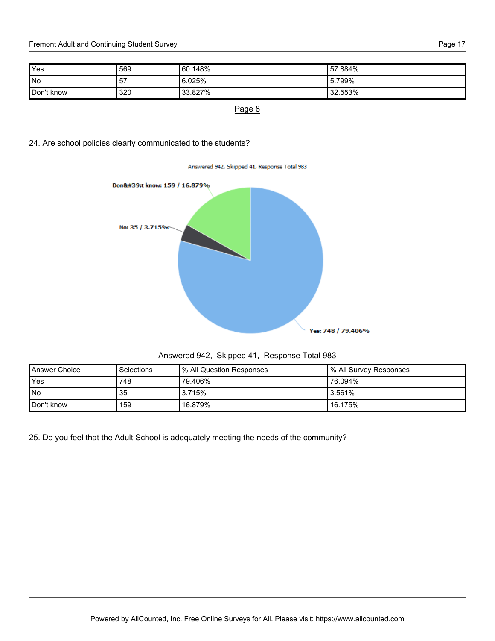Fremont Adult and Continuing Student Survey **Page 17** All the students of the students of the Page 17

| Yes        | 569 | 60.148% | 157.884%             |
|------------|-----|---------|----------------------|
| l No       | -57 | 6.025%  | <b>Ⅰ</b> 5.799%      |
| Don't know | 320 | 33.827% | <sup>1</sup> 32.553% |

Page 8

24. Are school policies clearly communicated to the students?



| Answered 942, Skipped 41, Response Total 983 |  |  |  |
|----------------------------------------------|--|--|--|
|----------------------------------------------|--|--|--|

| Answer Choice | Selections | % All Question Responses | ∥% All Survey Responses |
|---------------|------------|--------------------------|-------------------------|
| Yes           | 748        | 79.406%                  | <b>'76.094%</b>         |
| <b>No</b>     | 35         | 3.715%                   | l 3.561%                |
| Don't know    | 159        | 16.879%                  | 16.175%                 |

25. Do you feel that the Adult School is adequately meeting the needs of the community?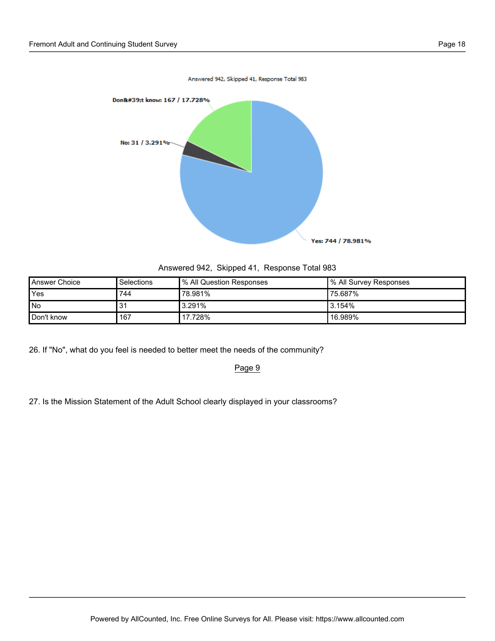

Answered 942, Skipped 41, Response Total 983

| <b>Answer Choice</b> | <b>Selections</b> | Ⅰ% All Question Responses | Ⅰ% All Survey Responses |
|----------------------|-------------------|---------------------------|-------------------------|
| <b>Yes</b>           | 744               | 78.981%                   | '75.687%                |
| l No                 |                   | $13.291\%$                | 13.154%                 |
| Don't know           | 167               | 17.728%                   | ' 16.989%               |

26. If "No", what do you feel is needed to better meet the needs of the community?

Page 9

27. Is the Mission Statement of the Adult School clearly displayed in your classrooms?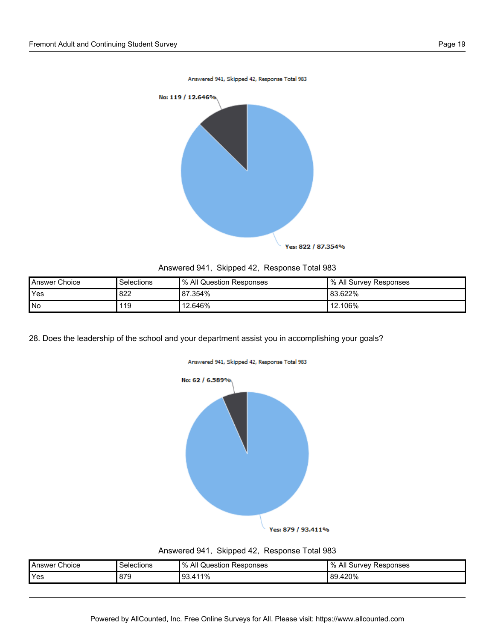

| Answered 941, Skipped 42, Response Total 983 |  |  |
|----------------------------------------------|--|--|
|                                              |  |  |

| Answer Choice | Selections | % All Question Responses | 1% All Survey Responses |
|---------------|------------|--------------------------|-------------------------|
| <b>Yes</b>    | 822        | 87.354%                  | 83.622%                 |
| l No          | 119        | 12.646%                  | 12.106%                 |

28. Does the leadership of the school and your department assist you in accomplishing your goals?





| Answered 941, Skipped 42, Response Total 983 |  |  |  |
|----------------------------------------------|--|--|--|
|----------------------------------------------|--|--|--|

| Choice<br>l Answer | Selections | $\%$<br>All<br>Question<br>Responses | $^{\prime}$ %<br>' Responses<br>l Survev<br>All |
|--------------------|------------|--------------------------------------|-------------------------------------------------|
| <b>Yes</b>         | 879        | .411%<br>l 93                        | 89.420%                                         |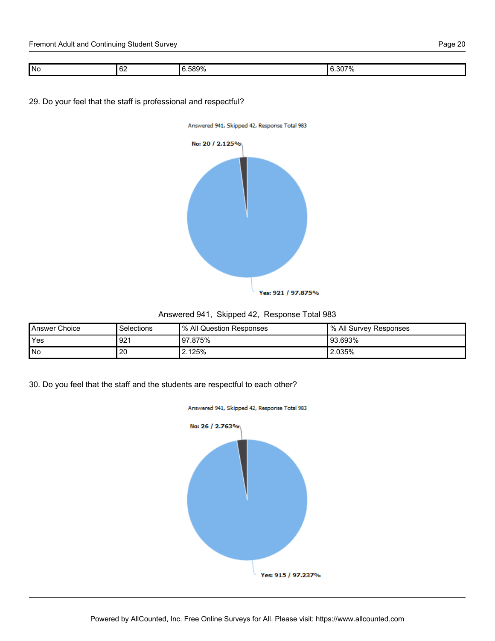| No | $\sim$<br>ש י | - 2006<br>7∩<br>$\mathbf{u}$ | 0070<br>. 307<br>- 70 |
|----|---------------|------------------------------|-----------------------|
|    |               |                              |                       |

29. Do your feel that the staff is professional and respectful?





# Answered 941, Skipped 42, Response Total 983

| Answer Choice | Selections | <sup>1</sup> % All Question Responses | I % All Survey Responses |
|---------------|------------|---------------------------------------|--------------------------|
| <b>Yes</b>    | 921        | 97.875%                               | l 93.693%                |
| No            | 20         | 2.125%                                | 2.035%                   |

30. Do you feel that the staff and the students are respectful to each other?

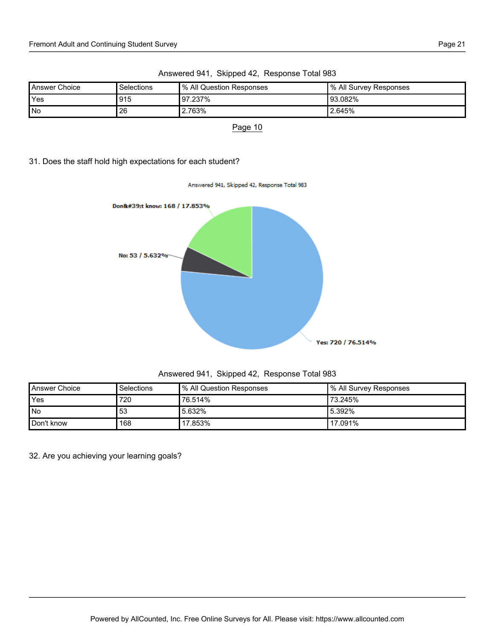| Answer Choice | <b>Selections</b> | I% All Question Responses | ∥% All Survey Responses |
|---------------|-------------------|---------------------------|-------------------------|
| Yes           | l 915             | 97.237%                   | ‼93.082%                |
| No            | 26                | 2.763%                    | '2.645%                 |

Answered 941, Skipped 42, Response Total 983

Page 10

# 31. Does the staff hold high expectations for each student?



| Answered 941, Skipped 42, Response Total 983 |  |  |  |
|----------------------------------------------|--|--|--|
|----------------------------------------------|--|--|--|

| Answer Choice | Selections | % All Question Responses | Ⅰ% All Survey Responses |
|---------------|------------|--------------------------|-------------------------|
| Yes           | 720        | 76.514%                  | <b>'73.245%</b>         |
| l No          | 53         | 15.632%                  | 15.392%                 |
| Don't know    | 168        | 17.853%                  | ' 17.091%               |

32. Are you achieving your learning goals?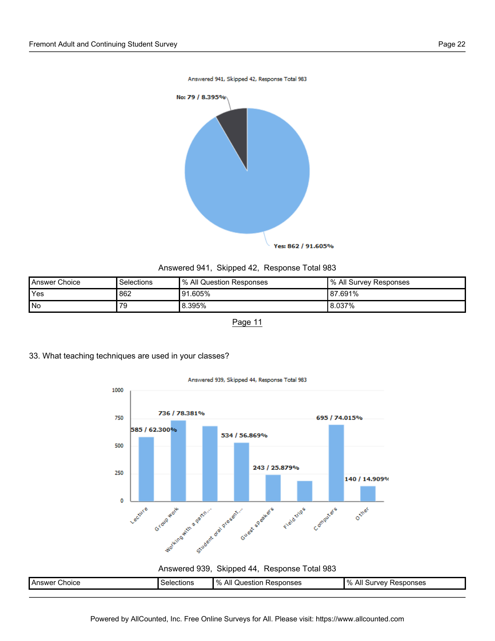

## Answered 941, Skipped 42, Response Total 983

| Answer Choice | Selections | <sup>1</sup> % All Question Responses | I % All Survey Responses |
|---------------|------------|---------------------------------------|--------------------------|
| Yes           | 862        | 91.605%                               | l 87.691%                |
| l No          | 79         | 8.395%                                | 8.037%                   |

Page 11





Answered 939, Skipped 44, Response Total 983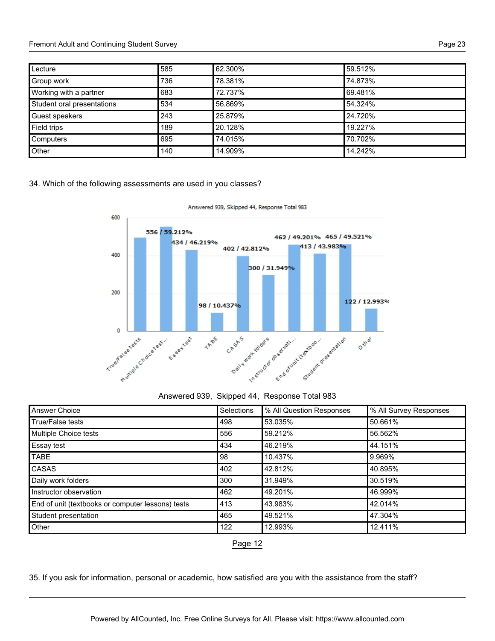#### Fremont Adult and Continuing Student Survey **Page 23** Page 23

| Lecture                    | 585 | 62.300% | 59.512% |
|----------------------------|-----|---------|---------|
| Group work                 | 736 | 78.381% | 74.873% |
| Working with a partner     | 683 | 72.737% | 69.481% |
| Student oral presentations | 534 | 56.869% | 54.324% |
| Guest speakers             | 243 | 25.879% | 24.720% |
| Field trips                | 189 | 20.128% | 19.227% |
| Computers                  | 695 | 74.015% | 70.702% |
| Other                      | 140 | 14.909% | 14.242% |

### 34. Which of the following assessments are used in you classes?



Answered 939, Skipped 44, Response Total 983

# Answered 939, Skipped 44, Response Total 983

| <b>Answer Choice</b>                              | Selections | % All Question Responses | % All Survey Responses |
|---------------------------------------------------|------------|--------------------------|------------------------|
| True/False tests                                  | 498        | 53.035%                  | 50.661%                |
| Multiple Choice tests                             | 556        | 59.212%                  | 56.562%                |
| Essay test                                        | 434        | 46.219%                  | 44.151%                |
| <b>TABE</b>                                       | 98         | 10.437%                  | 9.969%                 |
| CASAS                                             | 402        | 42.812%                  | 40.895%                |
| Daily work folders                                | 300        | 31.949%                  | 30.519%                |
| Instructor observation                            | 462        | 49.201%                  | 46.999%                |
| End of unit (textbooks or computer lessons) tests | 413        | 43.983%                  | 42.014%                |
| Student presentation                              | 465        | 49.521%                  | 47.304%                |
| Other                                             | 122        | 12.993%                  | 12.411%                |

# Page 12

35. If you ask for information, personal or academic, how satisfied are you with the assistance from the staff?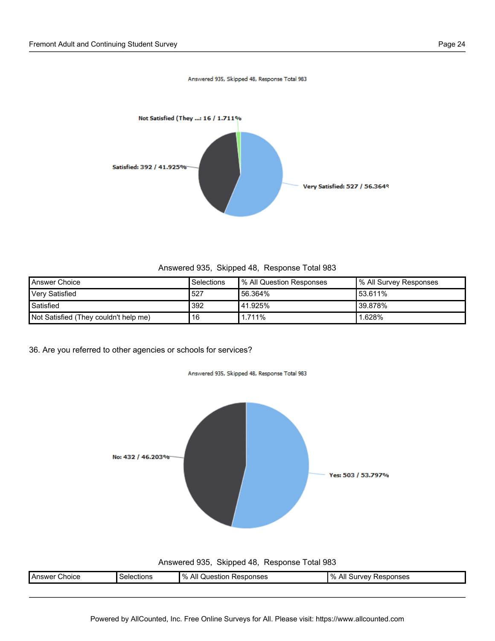

Answered 935, Skipped 48, Response Total 983

| Answer Choice                         | <b>Selections</b> | Ⅰ% All Question Responses | % All Survey Responses |
|---------------------------------------|-------------------|---------------------------|------------------------|
| <b>Very Satisfied</b>                 | 527               | 56.364%                   | 53.611%                |
| Satisfied                             | 392               | 141.925%                  | '39.878%               |
| Not Satisfied (They couldn't help me) | 16                | $1.711\%$                 | 1.628%                 |

36. Are you referred to other agencies or schools for services?



Answered 935, Skipped 48, Response Total 983

| Choice<br>Answer<br>. | <i>s</i> elections<br>. | $\%$<br>All<br>esponses<br>Question<br>AE.<br>. | ponses<br>INAV<br>.<br>7٥<br>ີ<br>-<br>--<br>. |
|-----------------------|-------------------------|-------------------------------------------------|------------------------------------------------|
|                       |                         |                                                 |                                                |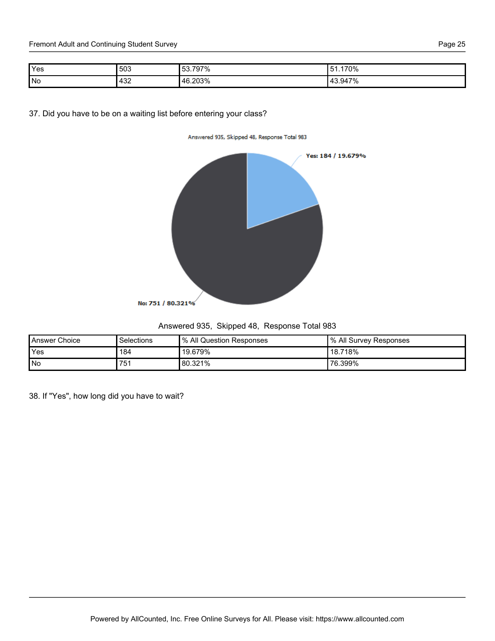| ıг<br>c<br>$\sim$ |  |
|-------------------|--|
|-------------------|--|

| Yes | 503 | 797%<br>53. | 170%<br>$\overline{\phantom{0}}$ |
|-----|-----|-------------|----------------------------------|
| No  | 432 | 46.203%     | 143.947%<br>70                   |

37. Did you have to be on a waiting list before entering your class?





| Answered 935, Skipped 48, Response Total 983 |  |  |  |
|----------------------------------------------|--|--|--|
|----------------------------------------------|--|--|--|

| <b>Answer Choice</b> | Selections | <sup>9</sup> % All Question Responses | I % All Survey Responses |
|----------------------|------------|---------------------------------------|--------------------------|
| Yes                  | 184        | 19.679%                               | ' 18.718%                |
| l No                 | 751        | 80.321%                               | ' 76.399%                |

38. If "Yes", how long did you have to wait?